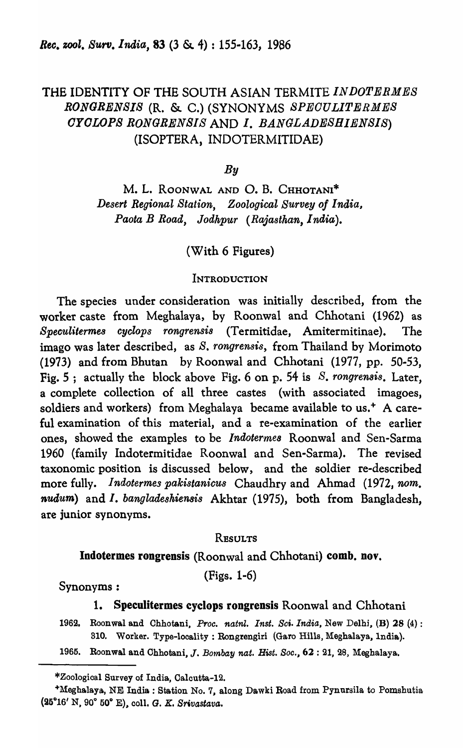# THE IDENTITY OF THE SOUTH ASIAN TERMITE *INDOTERMES RONGRENS[S* (R. & C.) (SYNONYMS *SPEOULITERME8 OYOLOPS RONGRENSIS* AND *1. BANGLADESHIENSIS)*  (ISOPTERA, INDOTERMITIDAE)

*By* 

M. L. ROONWAL AND O. B. CHHOTANI\* *Desert Regional Station, Zoological Survey of India, Paota B Road, Jodhpur (Rajasthan, India).* 

(With 6 Figures)

# **INTRODUCTION**

The species under consideration was initially described, from the worker caste from Meghalaya, by Roonwal and Chhotani (1962) as *Speeulitermes cyclops rongrensis* (Termitidae, Amitermitinae). The imago was later described, as *S. rongrensis,* from Thailand by Morimoto (1973) and from Bhutan by Roonwal and Chhotani (1977, pp. 50-53, Fig. 5; actually the block above Fig. 6 on p. 54 is *S. rongrensis.* Later, a complete collection of all three castes (with associated imagoes, soldiers and workers) from Meghalaya became available to us.<sup>+</sup> A careful examination of this material, and a re-examination of the earlier ones, showed the examples to be *Indotermes* Roonwal and Sen-Sarma 1960 (family Indotermitidae Roonwal and Sen-Sarma). The revised taxonomic position is discussed below, and the soldier re-described more fully. *Indotermes pakistanicus* Chaudhry and Ahmad (1972, *nom.* nudum) and *I. bangladeshiensis* Akhtar (1975), both from Bangladesh, are junior synonyms.

# RESULTS

# Indotermes rongrensis (Roonwal and Chhotani) comb. nov.

(Figs. 1-6)

Synonyms:

#### 1. Speculitermes cyclops rongrensis Roonwal and Chhotani

1962. Roonwal and Chhotani, *Proc. natnl. Inst. Sci. India*, New Delhi, (B) 28 (4): 310. Worker. Type-locality: Rongrengiri (Garo Hills, Meghalaya, 1ndia).

1965. Roonwal and Chhotani, J. *Bombay nat. Hist. Soc.*, 62: 21, 28, Meghalaya.

<sup>\*</sup>Zoologioal Survey of India, Caloutta-12.

<sup>+</sup>Meghalaya, NE India: Station No. 7, along Dawki Road from Pynursila to Pomshutia (25°16' N, 90° 50° E), 0011. G. *K. Srtvastava.*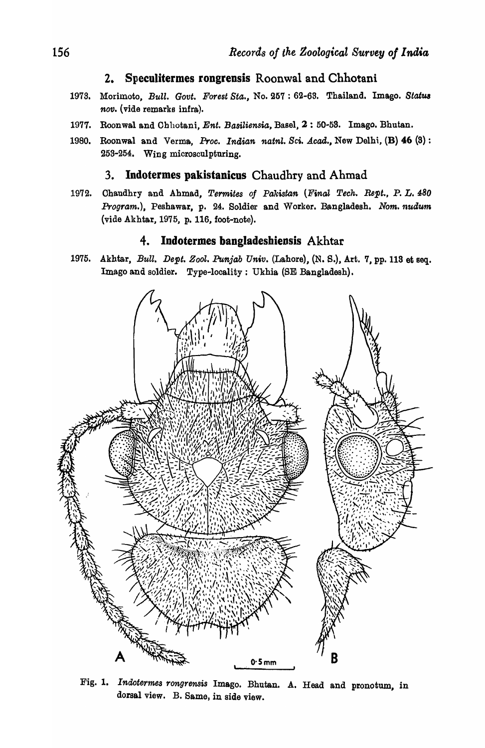# 2. Speculitermes rongrensis Roonwal and Chhotani

- 1973. Morimoto, *Bull. Govt. Forest Sta.*, No. 257: 62-63. Thailand. Imago. Status *nov.* (vide remarks infra).
- 1977. Roonwal and Ohhotani, *Ent. Basiliensia,* Basel, 2 : 50-58. Imago. Bhutan.
- 1980. Roonwal and Verma, *Proc. Indian natnl. Sci. Acad.*, New Delhi, (B) 46 (3): 253-254. Wing microsculpturing.

#### 3. Indotermes pakistanicus Chaudhry and Ahmad

1972. Chaudhry and Ahmad, *Termites of Pakistan (Final Tech. Rept., P. L. 480 Program.),* Peshawar, p. 24. Soldier and Worker. Bangladesh. *Nom. nuaum*  (vide Akhtar, 1975, p. 116, foot-note).

# 4. Indotermes bangladeshiensis Akhtar

1975. Akhtar, *Bull. Dept. Zool. Punjab Univ.* (Lahore), (N. S.), Art. 7, pp. 113 et seq. Imago and soldier. Type-locality: Ukhia. (BE Bangladesh).



Fig. 1. I *ndotermes rongrensis* Imago. Bhutan. A. Head and pronotwn, in dorsal view. B. Same, in side view.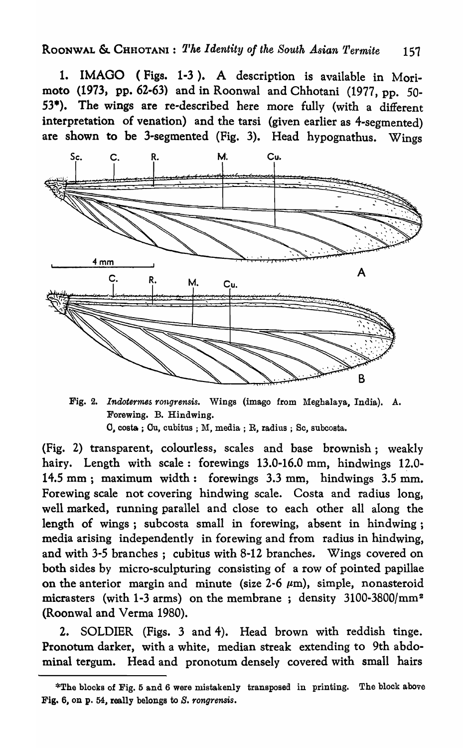1. IMAGO (Figs. 1-3). A description is available in Morimoto (1973, pp. 62-63) and in Roonwal and Chhotani (1977, pp. 50- *53\*).* The wings are re-described here more fully (with a different interpretation of venation) and the tarsi (given earlier as 4-segmented) are shown to be 3-segmented (Fig. 3). Head hypognathus. Wings



Fig. 2. *Indotermes rongrensis*. Wings (imago from Meghalaya, India). A. Forewing. B. Hindwing.

C, costa; Cu, cubitus; M, media; R, radius; Sc, subcosta.

(Fig. 2) transparent, colourless, scales and base brownish; weakly hairy. Length with scale: forewings  $13.0\n-16.0$  mm, hindwings  $12.0-$ 14.5 mm; maximum width: forewings 3.3 mm, hindwings 3.5 mm. Forewing scale not covering hindwing scale. Costa and radius long, well marked, running parallel and close to each other all along the length of wings; subcosta small in forewing, absent in hindwing; media arising independently in forewing and from radius in hindwing, and with 3-5 branches; cubitus with 8-12 branches. Wings covered on both sides by micro-sculpturing consisting of a row of pointed papillae on the anterior margin and minute (size 2-6  $\mu$ m), simple, nonasteroid micrasters (with 1-3 arms) on the membrane; density 3100-3800/mm<sup>2</sup> (Roonwal and Verma 1980).

2. SOLDIER (Figs. 3 and 4). Head brown with reddish tinge. Pronotum darker, with a white, median streak extending to 9th abdominal tergum. Head and pronotum densely covered with small hairs

<sup>\*</sup>The blocks of Fig. 5 and 6 were mistakenly transposed in printing. The block above Fig. 6, on p. 54, really belongs to *S. rongrensis.*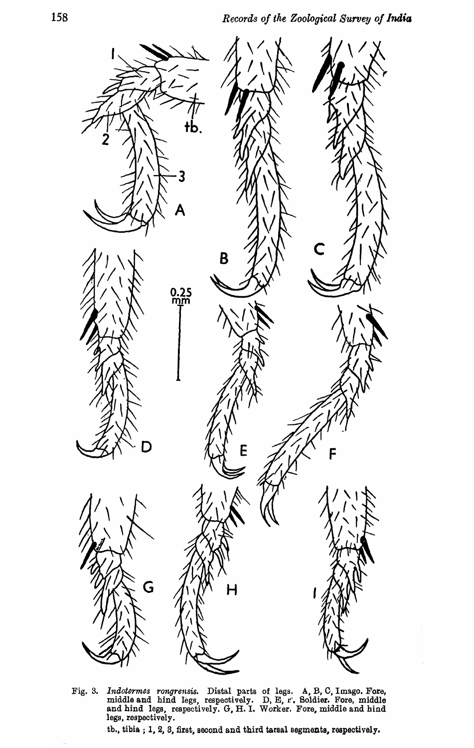

Fig. 3. *Indotermes rongrensis*. Distal parts of legs. A, B, C, Imago. Fore, middle and hind legs, respectively. D, E, r'. Soldier. Fore, middle and hind legs, respectively. G, H. I. Worker. Fore, middle and hind legs, respectively.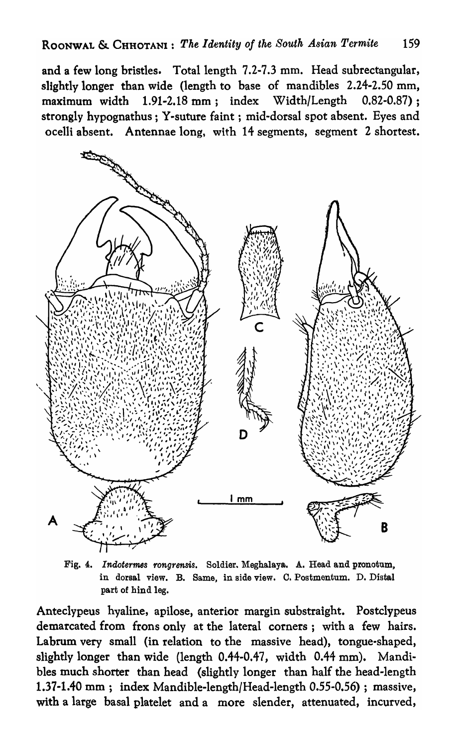and a few long bristles. Total length 7.2-7.3 mm. Head subrectangular, slightly longer than wide (length to base of mandibles 2.24-2.50 mm, maximum width 1.91-2.18 mm; index Width/Length 0.82-0.87) ; strongly hypognathus; Y-suture faint; mid-dorsal spot absent. Eyes and



Fig. 4. *Indotermes rongrensis*. Soldier. Meghalaya. A. Head and pronotum, in dorsal view. B. Same, in side view. C. Postmentum. D. Distal part of hind leg.

Anteclypeus hyaline, apilose, anterior margin substraight. Postclypeus demarcated from frons only at the lateral corners; with a few hairs. Labrum very small (in relation to the massive head), tongue-shaped, slightly longer than wide (length 0.44-0.47, width 0.44 mm). Mandibles much shorter than head (slightly longer than half the head-length 1.37-1.40 mm; index Mandible-Iength/Head-length 0.55-0.56) ; massive, with a large basal platelet and a more slender, attenuated, incurved,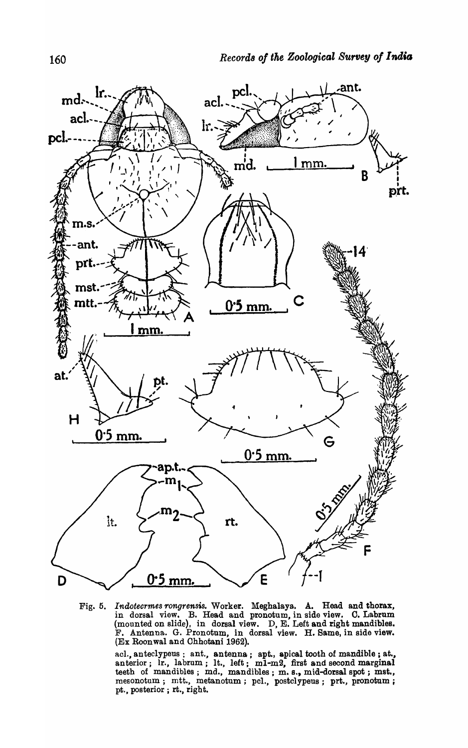

Fig. 5. *Indotecrmes rongrensis.* Worker. Meghalaya. A. Head and thorax, in dorsal view. B. Head and pronotum, in side view. O. Labrum (mounted on slide), in dorsal view. D, E. Left and right mandibles. F. Antenna. G. Pronotum, in dorsal view. H. Same, in side view. (Ex Roon wal and Chhotani 1962).

acl., anteclypeus ; ant., antenna; apt., apical tooth of mandible; at., anterior; Ir., labrum; It., left;  $m1-m2$ , first and second marginal teeth of mandibles; md., mandibles; m. s., mid-dorsal spot; mst., mesonotum; mtt., metanotum; pcL, postclypeus; prt., pronotum i pt., posterior; rt., right.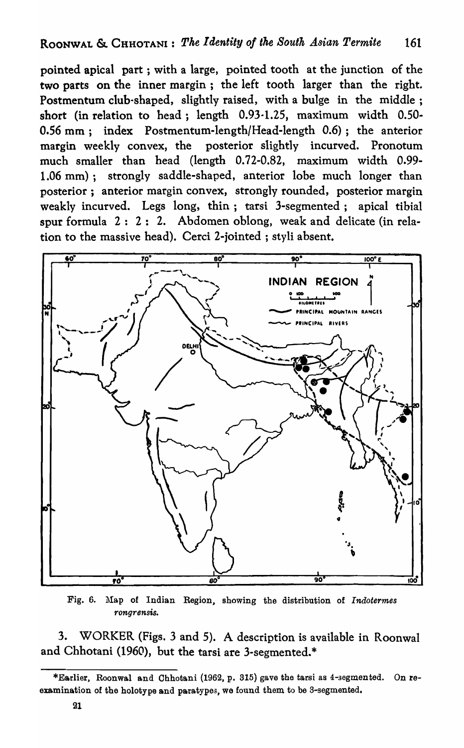pointed apical part; with a large, pointed tooth at the junction of the two parts on the inner margin; the left tooth larger than the right. Postmentum club-shaped, slightly raised, with a bulge in the middle; short (in relation to head; length 0.93·1.25, maximum width 0.50- 0.56 mm; index Postmentum-Iength/Head-Iength 0.6); the anterior margin weekly convex, the posterior slightly incurved. Pronotum much smaller than head (length 0.72-0.82, maximum width 0.99- 1.06 mm); strongly saddle-shaped, anterior lobe much longer than posterior; anterior margin convex, strongly rounded, posterior margin weakly incurved. Legs long, thin; tarsi 3-segmented; apical tibial spur formula 2: 2: 2. Abdomen oblong, weak and delicate (in relation to the massive head). Cerci 2-jointed ; styli absent.



Fig. 6. nIap of Indian Region~ showing the distribution of *Indotermes rongrensis.* 

3. WORKER (Figs. 3 and 5). A description is available in RoonwaI and Chhotani (1960), but the tarsi are 3-segmented.\*

<sup>\*</sup>Earlier, Roonwal and Chhotani (1962, p. 315) gave the tarsi as 4-segmented. On reexamination of the holotype and paratypes, we found them to be 3-segmented.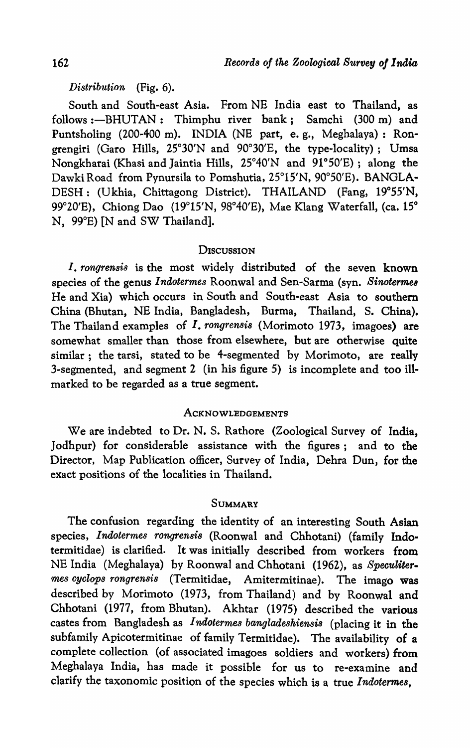*Distribution* (Fig. 6).

South and South-east Asia. From NE India east to Thailand, as follows :- BHUTAN: Thimphu river bank; Samchi (300 m) and Puntsholing (200-400 m). INDIA (NE part, e. g., Meghalaya): Rongrengiri (Garo Hills, 25°30'N and 90°30'E, the type-locality); Umsa Nongkharai (Khasi and Jaintia Hills, 25°40'N and 91°50'E); along the Dawki Road from Pynursila to Pomshutia, 25°15'N, 90°50'E). BANGLA-DESH: (Ukhia, Chittagong District). THAILAND (Fang, 19°55'N, 99°20'E), Chiong Dao (19°15'N, 98°40'E), Mae Klang Waterfall, (ca. 15° N, 99°E) [N and SW Thailand].

### **DISCUSSION**

*I. rongrensis* is the most widely distributed of the seven known species of the genus *Inaotermes* Roonwal and Sen-Sarma (syn. *Sinotermes*  He and Xia) which occurs in South and South-east Asia to southern China (Bhutan, NE India, Bangladesh, Burma, Thailand, S. China). The Thailand examples of *I*, *rongrensis* (Morimoto 1973, imagoes) are somewhat smaller than those from elsewhere, but are otherwise quite similar; the tarsi, stated to be 4-segmented by Morimoto, are really 3-segmented, and segment 2 (in his figure 5) is incomplete and too illmarked to be regarded as a true segment.

#### ACKNOWLEDGEMENTS

We are indebted to Dr. N. S. Rathore (Zoological Survey of India, Jodhpur) for considerable assistance with the figures; and to the Director, Map Publication officer, Survey of India, Dehra Dun, for the exact positions of the localities in Thailand.

# **SUMMARY**

The confusion regarding the identity of an interesting South Asian species, *Indotermes rongrensi8* (Roonwal and Chhotani) (family Indotermitidae) is clarified. It was initially described from workers from NE India (Meghalaya) by Roonwal and Chhotani (1962), as *Speculiter. mes cyclops rongrensis* (Termitidae, Amitermitinae). The imago was described by Morimoto (1973, from Thailand) and by Roonwal and Chhotani (1977, from Bhutan). Akhtar (1975) described the various castes from Bangladesh as *I ndotermes bangladeskiensis* (placing it in the subfamily Apicotermitinae of family Termitidae). The availability of a complete collection (of associated imagoes soldiers and workers) from Meghalaya India, has made it possible for us to re-examine and clarify the taxonomic position of the species which is a true *I ndotermes.*